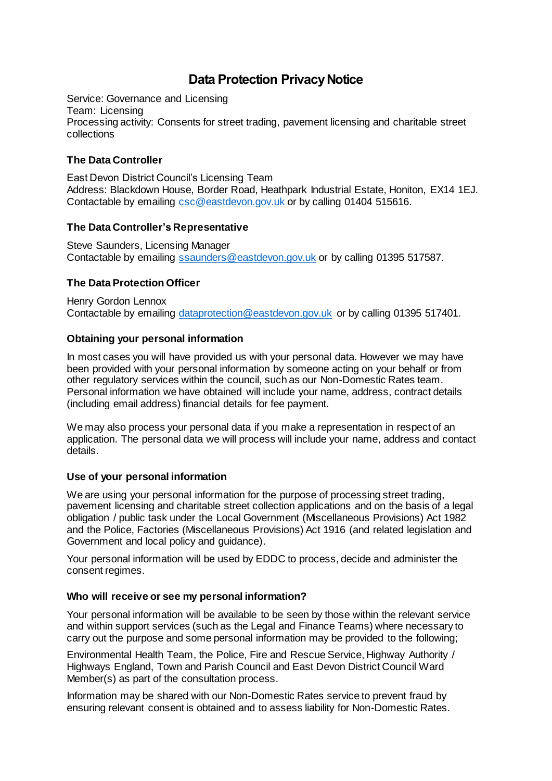# **Data Protection Privacy Notice**

Service: Governance and Licensing Team: Licensing Processing activity: Consents for street trading, pavement licensing and charitable street collections

## **The Data Controller**

East Devon District Council's Licensing Team Address: Blackdown House, Border Road, Heathpark Industrial Estate, Honiton, EX14 1EJ. Contactable by emailing [csc@eastdevon.gov.uk](mailto:SSaunders@eastdevon.gov.uk) or by calling 01404 515616.

## **The Data Controller's Representative**

Steve Saunders, Licensing Manager Contactable by emailing [ssaunders@eastdevon.gov.uk](mailto:ssaunders@eastdevon.gov.uk) or by calling 01395 517587.

## **The Data Protection Officer**

Henry Gordon Lennox Contactable by emailing [dataprotection@eastdevon.gov.uk](mailto:dataprotection@eastdevon.gov.uk) or by calling 01395 517401.

## **Obtaining your personal information**

In most cases you will have provided us with your personal data. However we may have been provided with your personal information by someone acting on your behalf or from other regulatory services within the council, such as our Non-Domestic Rates team. Personal information we have obtained will include your name, address, contract details (including email address) financial details for fee payment.

We may also process your personal data if you make a representation in respect of an application. The personal data we will process will include your name, address and contact details.

## **Use of your personal information**

We are using your personal information for the purpose of processing street trading, pavement licensing and charitable street collection applications and on the basis of a legal obligation / public task under the Local Government (Miscellaneous Provisions) Act 1982 and the Police, Factories (Miscellaneous Provisions) Act 1916 (and related legislation and Government and local policy and guidance).

Your personal information will be used by EDDC to process, decide and administer the consent regimes.

## **Who will receive or see my personal information?**

Your personal information will be available to be seen by those within the relevant service and within support services (such as the Legal and Finance Teams) where necessary to carry out the purpose and some personal information may be provided to the following;

Environmental Health Team, the Police, Fire and Rescue Service, Highway Authority / Highways England, Town and Parish Council and East Devon District Council Ward Member(s) as part of the consultation process.

Information may be shared with our Non-Domestic Rates service to prevent fraud by ensuring relevant consent is obtained and to assess liability for Non-Domestic Rates.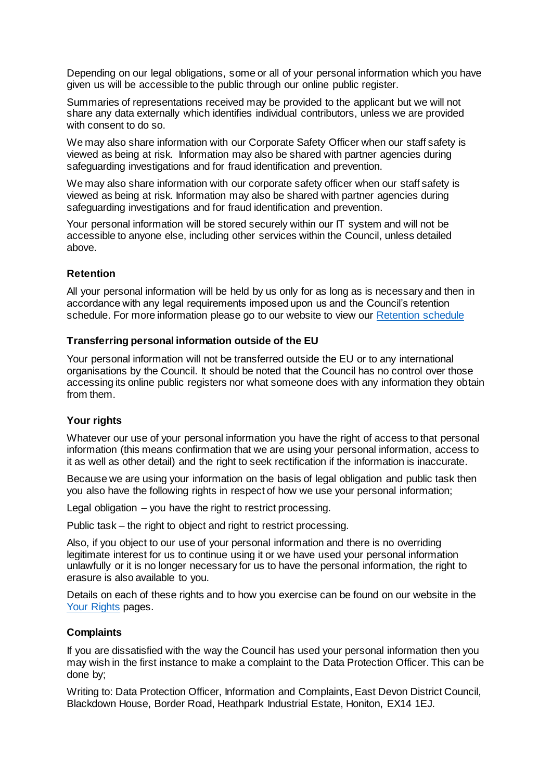Depending on our legal obligations, some or all of your personal information which you have given us will be accessible to the public through our online public register.

Summaries of representations received may be provided to the applicant but we will not share any data externally which identifies individual contributors, unless we are provided with consent to do so.

We may also share information with our Corporate Safety Officer when our staff safety is viewed as being at risk. Information may also be shared with partner agencies during safeguarding investigations and for fraud identification and prevention.

We may also share information with our corporate safety officer when our staff safety is viewed as being at risk. Information may also be shared with partner agencies during safeguarding investigations and for fraud identification and prevention.

Your personal information will be stored securely within our IT system and will not be accessible to anyone else, including other services within the Council, unless detailed above.

#### **Retention**

All your personal information will be held by us only for as long as is necessary and then in accordance with any legal requirements imposed upon us and the Council's retention schedule. For more information please go to our website to view our [Retention schedule](http://eastdevon.gov.uk/access-to-information/data-protection/document-retention-schedules/)

#### **Transferring personal information outside of the EU**

Your personal information will not be transferred outside the EU or to any international organisations by the Council. It should be noted that the Council has no control over those accessing its online public registers nor what someone does with any information they obtain from them.

#### **Your rights**

Whatever our use of your personal information you have the right of access to that personal information (this means confirmation that we are using your personal information, access to it as well as other detail) and the right to seek rectification if the information is inaccurate.

Because we are using your information on the basis of legal obligation and public task then you also have the following rights in respect of how we use your personal information;

Legal obligation – you have the right to restrict processing.

Public task – the right to object and right to restrict processing.

Also, if you object to our use of your personal information and there is no overriding legitimate interest for us to continue using it or we have used your personal information unlawfully or it is no longer necessary for us to have the personal information, the right to erasure is also available to you.

Details on each of these rights and to how you exercise can be found on our website in the [Your Rights](https://eastdevon.gov.uk/access-to-information/data-protection/data-protection-information/your-rights/) pages.

#### **Complaints**

If you are dissatisfied with the way the Council has used your personal information then you may wish in the first instance to make a complaint to the Data Protection Officer. This can be done by;

Writing to: Data Protection Officer, Information and Complaints, East Devon District Council, Blackdown House, Border Road, Heathpark Industrial Estate, Honiton, EX14 1EJ.